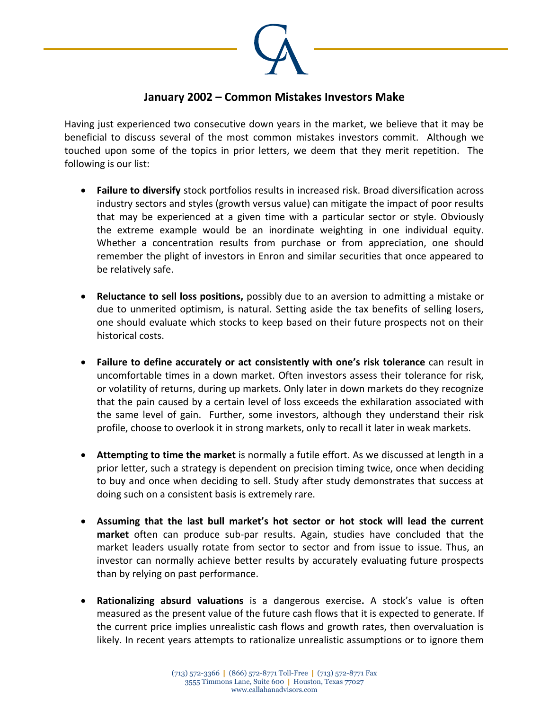

## **January 2002 – Common Mistakes Investors Make**

Having just experienced two consecutive down years in the market, we believe that it may be beneficial to discuss several of the most common mistakes investors commit. Although we touched upon some of the topics in prior letters, we deem that they merit repetition. The following is our list:

- **Failure to diversify** stock portfolios results in increased risk. Broad diversification across industry sectors and styles (growth versus value) can mitigate the impact of poor results that may be experienced at a given time with a particular sector or style. Obviously the extreme example would be an inordinate weighting in one individual equity. Whether a concentration results from purchase or from appreciation, one should remember the plight of investors in Enron and similar securities that once appeared to be relatively safe.
- **Reluctance to sell loss positions,** possibly due to an aversion to admitting a mistake or due to unmerited optimism, is natural. Setting aside the tax benefits of selling losers, one should evaluate which stocks to keep based on their future prospects not on their historical costs.
- **Failure to define accurately or act consistently with one's risk tolerance** can result in uncomfortable times in a down market. Often investors assess their tolerance for risk, or volatility of returns, during up markets. Only later in down markets do they recognize that the pain caused by a certain level of loss exceeds the exhilaration associated with the same level of gain. Further, some investors, although they understand their risk profile, choose to overlook it in strong markets, only to recall it later in weak markets.
- **Attempting to time the market** is normally a futile effort. As we discussed at length in a prior letter, such a strategy is dependent on precision timing twice, once when deciding to buy and once when deciding to sell. Study after study demonstrates that success at doing such on a consistent basis is extremely rare.
- **Assuming that the last bull market's hot sector or hot stock will lead the current market** often can produce sub-par results. Again, studies have concluded that the market leaders usually rotate from sector to sector and from issue to issue. Thus, an investor can normally achieve better results by accurately evaluating future prospects than by relying on past performance.
- **Rationalizing absurd valuations** is a dangerous exercise**.** A stock's value is often measured as the present value of the future cash flows that it is expected to generate. If the current price implies unrealistic cash flows and growth rates, then overvaluation is likely. In recent years attempts to rationalize unrealistic assumptions or to ignore them